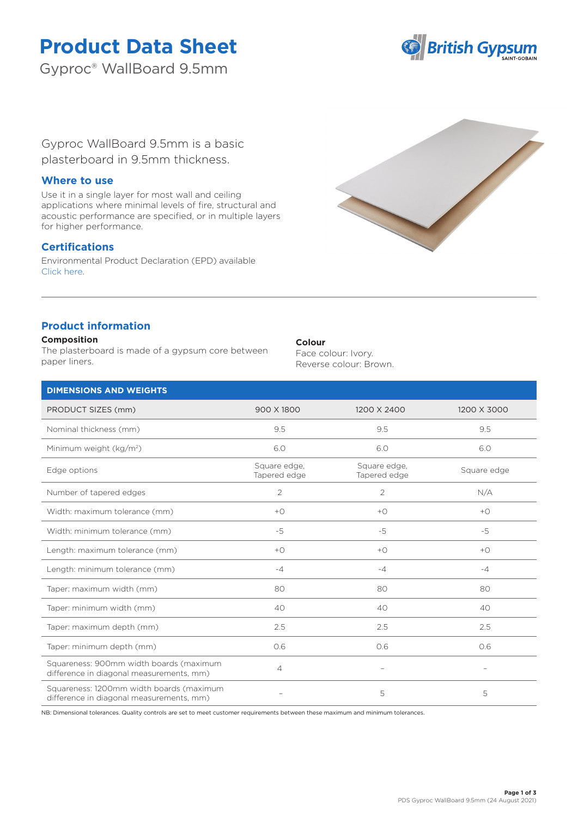# **Product Data Sheet**

Gyproc® WallBoard 9.5mm



Gyproc WallBoard 9.5mm is a basic plasterboard in 9.5mm thickness.

## **Where to use**

Use it in a single layer for most wall and ceiling applications where minimal levels of fire, structural and acoustic performance are specified, or in multiple layers for higher performance.

# **Certifications**

Environmental Product Declaration (EPD) available [Click here.](https://www.british-gypsum.com/EPD)



# **Product information**

#### **Composition**

The plasterboard is made of a gypsum core between paper liners.

#### **Colour**

Face colour: Ivory. Reverse colour: Brown.

| <b>DIMENSIONS AND WEIGHTS</b>                                                        |                              |                              |                |
|--------------------------------------------------------------------------------------|------------------------------|------------------------------|----------------|
| PRODUCT SIZES (mm)                                                                   | 900 X 1800                   | 1200 X 2400                  | 1200 X 3000    |
| Nominal thickness (mm)                                                               | 9.5                          | 9.5                          | 9.5            |
| Minimum weight (kg/m <sup>2</sup> )                                                  | 6.0                          | 6.0                          | 6.0            |
| Edge options                                                                         | Square edge,<br>Tapered edge | Square edge,<br>Tapered edge | Square edge    |
| Number of tapered edges                                                              | $\overline{2}$               | $\overline{2}$               | N/A            |
| Width: maximum tolerance (mm)                                                        | $+$ $\bigcirc$               | $+$ $\bigcirc$               | $+$ $\bigcirc$ |
| Width: minimum tolerance (mm)                                                        | $-5$                         | $-5$                         | $-5$           |
| Length: maximum tolerance (mm)                                                       | $+O$                         | $+O$                         | $+O$           |
| Length: minimum tolerance (mm)                                                       | $-4$                         | $-4$                         | $-4$           |
| Taper: maximum width (mm)                                                            | 80                           | 80                           | 80             |
| Taper: minimum width (mm)                                                            | 40                           | 40                           | 40             |
| Taper: maximum depth (mm)                                                            | 2.5                          | 2.5                          | 2.5            |
| Taper: minimum depth (mm)                                                            | 0.6                          | O.6                          | 0.6            |
| Squareness: 900mm width boards (maximum<br>difference in diagonal measurements, mm)  | $\overline{4}$               | $\overline{\phantom{m}}$     |                |
| Squareness: 1200mm width boards (maximum<br>difference in diagonal measurements, mm) |                              | 5                            | 5              |

NB: Dimensional tolerances. Quality controls are set to meet customer requirements between these maximum and minimum tolerances.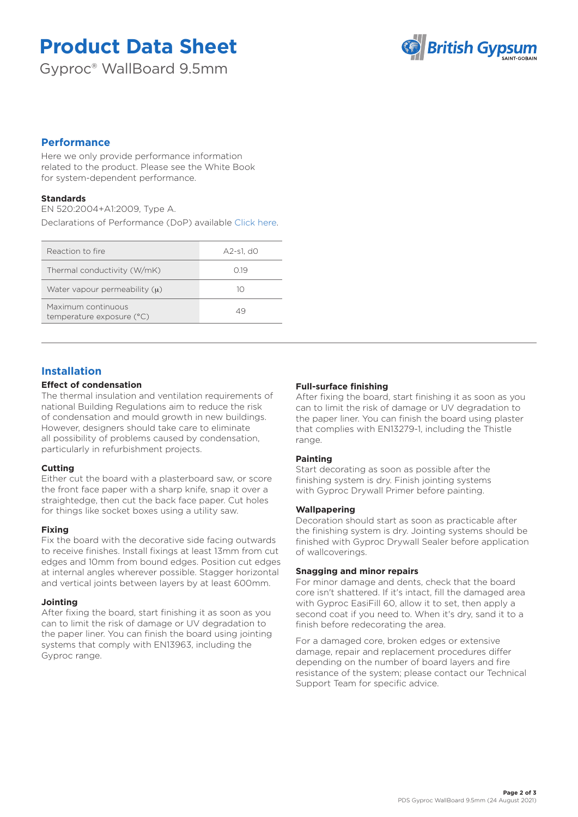# **Product Data Sheet**

Gyproc® WallBoard 9.5mm



# **Performance**

Here we only provide performance information related to the product. Please see the White Book for system-dependent performance.

## **Standards**

EN 520:2004+A1:2009, Type A.

Declarations of Performance (DoP) available [Click here.](https://www.british-gypsum.com/DoP)

| Reaction to fire                                | A2-s1. d0 |
|-------------------------------------------------|-----------|
| Thermal conductivity (W/mK)                     | O 19      |
| Water vapour permeability $(u)$                 | 10        |
| Maximum continuous<br>temperature exposure (°C) | 49        |

## **Installation**

## **Effect of condensation**

The thermal insulation and ventilation requirements of national Building Regulations aim to reduce the risk of condensation and mould growth in new buildings. However, designers should take care to eliminate all possibility of problems caused by condensation, particularly in refurbishment projects.

## **Cutting**

Either cut the board with a plasterboard saw, or score the front face paper with a sharp knife, snap it over a straightedge, then cut the back face paper. Cut holes for things like socket boxes using a utility saw.

## **Fixing**

Fix the board with the decorative side facing outwards to receive finishes. Install fixings at least 13mm from cut edges and 10mm from bound edges. Position cut edges at internal angles wherever possible. Stagger horizontal and vertical joints between layers by at least 600mm.

## **Jointing**

After fixing the board, start finishing it as soon as you can to limit the risk of damage or UV degradation to the paper liner. You can finish the board using jointing systems that comply with EN13963, including the Gyproc range.

## **Full-surface finishing**

After fixing the board, start finishing it as soon as you can to limit the risk of damage or UV degradation to the paper liner. You can finish the board using plaster that complies with EN13279-1, including the Thistle range.

## **Painting**

Start decorating as soon as possible after the finishing system is dry. Finish jointing systems with Gyproc Drywall Primer before painting.

## **Wallpapering**

Decoration should start as soon as practicable after the finishing system is dry. Jointing systems should be finished with Gyproc Drywall Sealer before application of wallcoverings.

#### **Snagging and minor repairs**

For minor damage and dents, check that the board core isn't shattered. If it's intact, fill the damaged area with Gyproc EasiFill 60, allow it to set, then apply a second coat if you need to. When it's dry, sand it to a finish before redecorating the area.

For a damaged core, broken edges or extensive damage, repair and replacement procedures differ depending on the number of board layers and fire resistance of the system; please contact our Technical Support Team for specific advice.